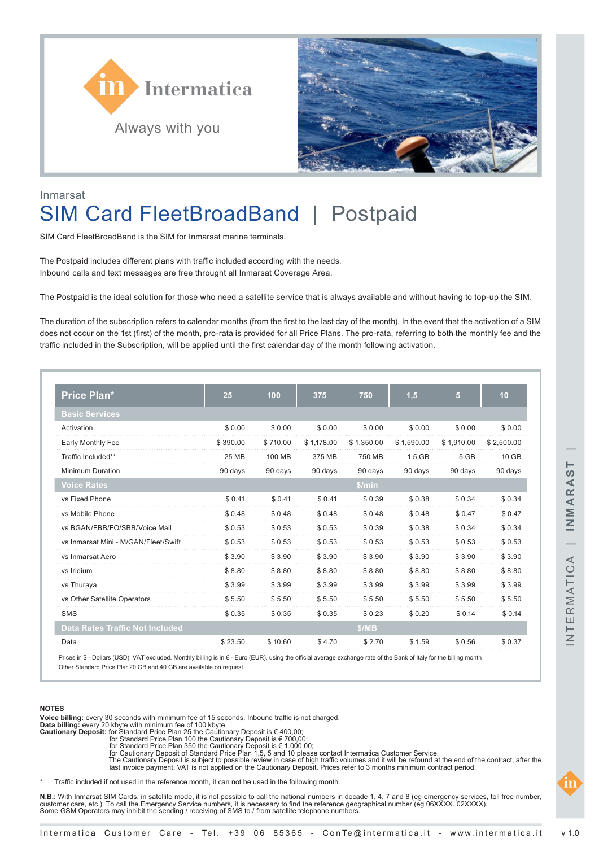



## Inmarsat

# SIM Card FleetBroadBand | Postpaid

SIM Card FleetBroadBand is the SIM for Inmarsat marine terminals.

The Postpaid includes different plans with traffic included according with the needs. Inbound calls and text messages are free throught all Inmarsat Coverage Area.

The Postpaid is the ideal solution for those who need a satellite service that is always available and without having to top-up the SIM.

The duration of the subscription refers to calendar months (from the first to the last day of the month). In the event that the activation of a SIM does not occur on the 1st (first) of the month, pro-rata is provided for all Price Plans. The pro-rata, referring to both the monthly fee and the traffic included in the Subscription, will be applied until the first calendar day of the month following activation.

| <b>Price Plan*</b>                     | 25       | 100      | 375        | 750        | 1,5        | 5          | 10         |
|----------------------------------------|----------|----------|------------|------------|------------|------------|------------|
| <b>Basic Services</b>                  |          |          |            |            |            |            |            |
| Activation                             | \$0.00   | \$0.00   | \$0.00     | \$0.00     | \$0.00     | \$0.00     | \$0.00     |
| Early Monthly Fee                      | \$390.00 | \$710.00 | \$1,178.00 | \$1,350.00 | \$1,590.00 | \$1.910.00 | \$2,500.00 |
| Traffic Included**                     | 25 MB    | 100 MB   | 375 MB     | 750 MB     | $1.5$ GB   | 5 GB       | 10 GB      |
| <b>Minimum Duration</b>                | 90 days  | 90 days  | 90 days    | 90 days    | 90 days    | 90 days    | 90 days    |
| <b>Voice Rates</b>                     |          |          |            | \$/min     |            |            |            |
| vs Fixed Phone                         | \$0.41   | \$0.41   | \$0.41     | \$0.39     | \$0.38     | \$0.34     | \$0.34     |
| vs Mobile Phone                        | \$0.48   | \$0.48   | \$0.48     | \$0.48     | \$0.48     | \$0.47     | \$0.47     |
| vs BGAN/FBB/FO/SBB/Voice Mail          | \$0.53   | \$0.53   | \$0.53     | \$0.39     | \$0.38     | \$0.34     | \$0.34     |
| vs Inmarsat Mini - M/GAN/Fleet/Swift   | \$0.53   | \$0.53   | \$0.53     | \$0.53     | \$0.53     | \$0.53     | \$0.53     |
| vs Inmarsat Aero                       | \$3.90   | \$3.90   | \$3.90     | \$3.90     | \$3.90     | \$3.90     | \$3.90     |
| vs Iridium                             | \$8.80   | \$8.80   | \$8.80     | \$8.80     | \$8.80     | \$8.80     | \$8.80     |
| vs Thuraya                             | \$3.99   | \$3.99   | \$3.99     | \$3.99     | \$3.99     | \$3.99     | \$3.99     |
| vs Other Satellite Operators           | \$5.50   | \$5.50   | \$5.50     | \$5.50     | \$5.50     | \$5.50     | \$5.50     |
| <b>SMS</b>                             | \$0.35   | \$0.35   | \$0.35     | \$0.23     | \$0.20     | \$0.14     | \$0.14     |
| <b>Data Rates Traffic Not Included</b> |          |          |            | \$/MB      |            |            |            |
| Data                                   | \$23.50  | \$10.60  | \$4.70     | \$2.70     | \$1.59     | \$0.56     | \$0.37     |

Prices in \$ - Dollars (USD), VAT excluded. Monthly billing is in € - Euro (EUR), using the official average exchange rate of the Bank of Italy for the billing month Other Standard Price Plar 20 GB and 40 GB are available on request.

### **NOTES**

Voice billing: every 30 seconds with minimum fee of 15 seconds. Inbound traffic is not charged.<br>Data billing: every 20 kbyte with minimum fee of 100 kbyte.<br>Cautionary Deposit: for Standard Price Plan 25 the Cautionary De

- 
- 

for Cautionary Deposit of Standard Price Plan 1,5, 5 and 10 please contact Intermatica Customer Service.<br>The Cautionary Deposit is subject to possible review in case of high traffic volumes and it will be refound at the en

Traffic included if not used in the reference month, it can not be used in the following month.

**N.B.:** With Inmarsat SIM Cards, in satellite mode, it is not possible to call the national numbers in decade 1, 4, 7 and 8 (eg emergency services, toll free number,<br>customer care, etc.). To call the Emergency Service numb